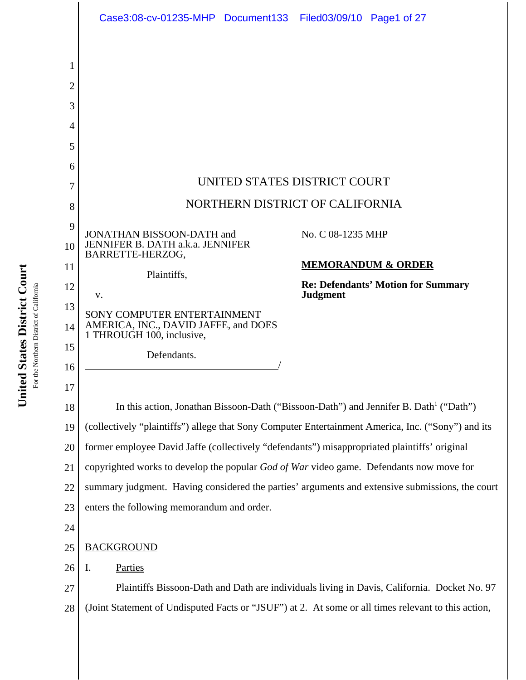

United States District Court **United States District Court** For the Northern District of California For the Northern District of California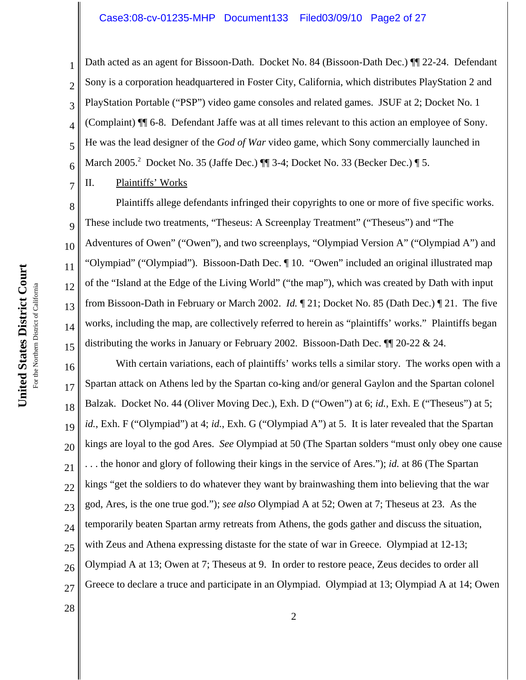#### Case3:08-cv-01235-MHP Document133 Filed03/09/10 Page2 of 27

Dath acted as an agent for Bissoon-Dath. Docket No. 84 (Bissoon-Dath Dec.)  $\P$  22-24. Defendant Sony is a corporation headquartered in Foster City, California, which distributes PlayStation 2 and PlayStation Portable ("PSP") video game consoles and related games. JSUF at 2; Docket No. 1 (Complaint) ¶¶ 6-8. Defendant Jaffe was at all times relevant to this action an employee of Sony. He was the lead designer of the *God of War* video game, which Sony commercially launched in March 2005.<sup>2</sup> Docket No. 35 (Jaffe Dec.) ¶ 3-4; Docket No. 33 (Becker Dec.) ¶ 5.

II. Plaintiffs' Works

1

2

3

4

5

6

7

11

14

28

8 9 10 12 13 15 Plaintiffs allege defendants infringed their copyrights to one or more of five specific works. These include two treatments, "Theseus: A Screenplay Treatment" ("Theseus") and "The Adventures of Owen" ("Owen"), and two screenplays, "Olympiad Version A" ("Olympiad A") and "Olympiad" ("Olympiad"). Bissoon-Dath Dec. ¶ 10. "Owen" included an original illustrated map of the "Island at the Edge of the Living World" ("the map"), which was created by Dath with input from Bissoon-Dath in February or March 2002. *Id.* ¶ 21; Docket No. 85 (Dath Dec.) ¶ 21. The five works, including the map, are collectively referred to herein as "plaintiffs' works." Plaintiffs began distributing the works in January or February 2002. Bissoon-Dath Dec. ¶¶ 20-22 & 24.

16 17 18 19 20 21 22 23 24 25 26 27 With certain variations, each of plaintiffs' works tells a similar story. The works open with a Spartan attack on Athens led by the Spartan co-king and/or general Gaylon and the Spartan colonel Balzak. Docket No. 44 (Oliver Moving Dec.), Exh. D ("Owen") at 6; *id.*, Exh. E ("Theseus") at 5; *id.*, Exh. F ("Olympiad") at 4; *id.*, Exh. G ("Olympiad A") at 5. It is later revealed that the Spartan kings are loyal to the god Ares. *See* Olympiad at 50 (The Spartan solders "must only obey one cause . . . the honor and glory of following their kings in the service of Ares."); *id.* at 86 (The Spartan kings "get the soldiers to do whatever they want by brainwashing them into believing that the war god, Ares, is the one true god."); *see also* Olympiad A at 52; Owen at 7; Theseus at 23. As the temporarily beaten Spartan army retreats from Athens, the gods gather and discuss the situation, with Zeus and Athena expressing distaste for the state of war in Greece. Olympiad at 12-13; Olympiad A at 13; Owen at 7; Theseus at 9. In order to restore peace, Zeus decides to order all Greece to declare a truce and participate in an Olympiad. Olympiad at 13; Olympiad A at 14; Owen

United States District Court **United States District Court** For the Northern District of California For the Northern District of California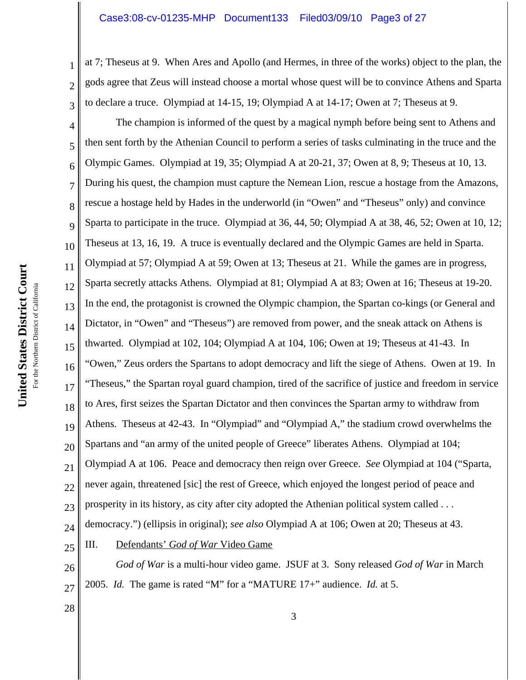#### Case3:08-cv-01235-MHP Document133 Filed03/09/10 Page3 of 27

at 7; Theseus at 9. When Ares and Apollo (and Hermes, in three of the works) object to the plan, the gods agree that Zeus will instead choose a mortal whose quest will be to convince Athens and Sparta to declare a truce. Olympiad at 14-15, 19; Olympiad A at 14-17; Owen at 7; Theseus at 9.

4 5 6 7 8 9 10 11 12 13 14 15 16 17 18 19 20 21 22 23 24 25 The champion is informed of the quest by a magical nymph before being sent to Athens and then sent forth by the Athenian Council to perform a series of tasks culminating in the truce and the Olympic Games. Olympiad at 19, 35; Olympiad A at 20-21, 37; Owen at 8, 9; Theseus at 10, 13. During his quest, the champion must capture the Nemean Lion, rescue a hostage from the Amazons, rescue a hostage held by Hades in the underworld (in "Owen" and "Theseus" only) and convince Sparta to participate in the truce. Olympiad at 36, 44, 50; Olympiad A at 38, 46, 52; Owen at 10, 12; Theseus at 13, 16, 19. A truce is eventually declared and the Olympic Games are held in Sparta. Olympiad at 57; Olympiad A at 59; Owen at 13; Theseus at 21. While the games are in progress, Sparta secretly attacks Athens. Olympiad at 81; Olympiad A at 83; Owen at 16; Theseus at 19-20. In the end, the protagonist is crowned the Olympic champion, the Spartan co-kings (or General and Dictator, in "Owen" and "Theseus") are removed from power, and the sneak attack on Athens is thwarted. Olympiad at 102, 104; Olympiad A at 104, 106; Owen at 19; Theseus at 41-43. In "Owen," Zeus orders the Spartans to adopt democracy and lift the siege of Athens. Owen at 19. In "Theseus," the Spartan royal guard champion, tired of the sacrifice of justice and freedom in service to Ares, first seizes the Spartan Dictator and then convinces the Spartan army to withdraw from Athens. Theseus at 42-43. In "Olympiad" and "Olympiad A," the stadium crowd overwhelms the Spartans and "an army of the united people of Greece" liberates Athens. Olympiad at 104; Olympiad A at 106. Peace and democracy then reign over Greece. *See* Olympiad at 104 ("Sparta, never again, threatened [sic] the rest of Greece, which enjoyed the longest period of peace and prosperity in its history, as city after city adopted the Athenian political system called . . . democracy.") (ellipsis in original); *see also* Olympiad A at 106; Owen at 20; Theseus at 43. III. Defendants' *God of War* Video Game

26 27 *God of War* is a multi-hour video game. JSUF at 3. Sony released *God of War* in March 2005. *Id.* The game is rated "M" for a "MATURE 17+" audience. *Id.* at 5.

United States District Court **United States District Court** For the Northern District of California For the Northern District of California

28

1

2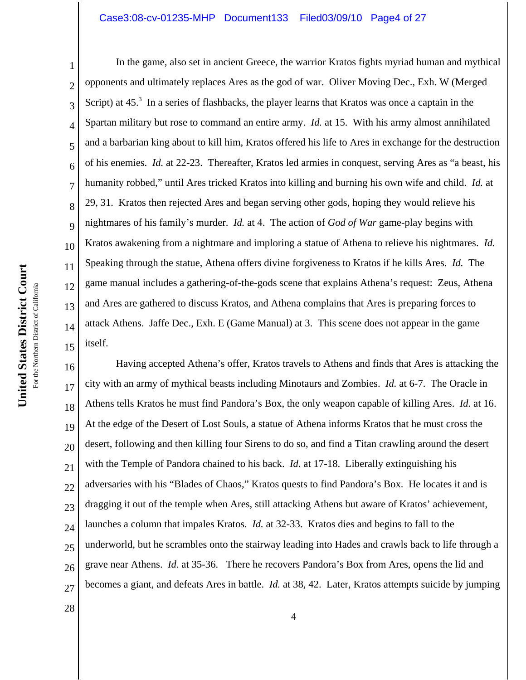#### Case3:08-cv-01235-MHP Document133 Filed03/09/10 Page4 of 27

1 2 3 4 5 6 7 8 9 10 11 12 13 14 15 In the game, also set in ancient Greece, the warrior Kratos fights myriad human and mythical opponents and ultimately replaces Ares as the god of war. Oliver Moving Dec., Exh. W (Merged Script) at  $45<sup>3</sup>$  In a series of flashbacks, the player learns that Kratos was once a captain in the Spartan military but rose to command an entire army. *Id.* at 15. With his army almost annihilated and a barbarian king about to kill him, Kratos offered his life to Ares in exchange for the destruction of his enemies. *Id.* at 22-23. Thereafter, Kratos led armies in conquest, serving Ares as "a beast, his humanity robbed," until Ares tricked Kratos into killing and burning his own wife and child. *Id.* at 29, 31. Kratos then rejected Ares and began serving other gods, hoping they would relieve his nightmares of his family's murder. *Id.* at 4. The action of *God of War* game-play begins with Kratos awakening from a nightmare and imploring a statue of Athena to relieve his nightmares. *Id.* Speaking through the statue, Athena offers divine forgiveness to Kratos if he kills Ares. *Id.* The game manual includes a gathering-of-the-gods scene that explains Athena's request: Zeus, Athena and Ares are gathered to discuss Kratos, and Athena complains that Ares is preparing forces to attack Athens. Jaffe Dec., Exh. E (Game Manual) at 3. This scene does not appear in the game itself.

16 17 18 19 20 21 22 23 24 25 26 27 Having accepted Athena's offer, Kratos travels to Athens and finds that Ares is attacking the city with an army of mythical beasts including Minotaurs and Zombies. *Id.* at 6-7. The Oracle in Athens tells Kratos he must find Pandora's Box, the only weapon capable of killing Ares. *Id.* at 16. At the edge of the Desert of Lost Souls, a statue of Athena informs Kratos that he must cross the desert, following and then killing four Sirens to do so, and find a Titan crawling around the desert with the Temple of Pandora chained to his back. *Id.* at 17-18. Liberally extinguishing his adversaries with his "Blades of Chaos," Kratos quests to find Pandora's Box. He locates it and is dragging it out of the temple when Ares, still attacking Athens but aware of Kratos' achievement, launches a column that impales Kratos*. Id.* at 32-33. Kratos dies and begins to fall to the underworld, but he scrambles onto the stairway leading into Hades and crawls back to life through a grave near Athens. *Id.* at 35-36. There he recovers Pandora's Box from Ares, opens the lid and becomes a giant, and defeats Ares in battle. *Id.* at 38, 42. Later, Kratos attempts suicide by jumping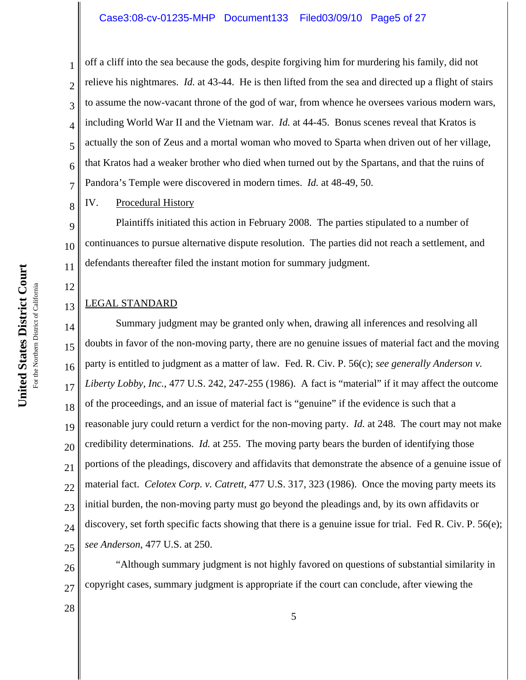off a cliff into the sea because the gods, despite forgiving him for murdering his family, did not relieve his nightmares. *Id.* at 43-44. He is then lifted from the sea and directed up a flight of stairs to assume the now-vacant throne of the god of war, from whence he oversees various modern wars, including World War II and the Vietnam war. *Id.* at 44-45. Bonus scenes reveal that Kratos is actually the son of Zeus and a mortal woman who moved to Sparta when driven out of her village, that Kratos had a weaker brother who died when turned out by the Spartans, and that the ruins of Pandora's Temple were discovered in modern times. *Id.* at 48-49, 50.

IV. Procedural History

1

2

3

4

5

6

7

8

12

13

28

9 10 11 Plaintiffs initiated this action in February 2008. The parties stipulated to a number of continuances to pursue alternative dispute resolution. The parties did not reach a settlement, and defendants thereafter filed the instant motion for summary judgment.

# LEGAL STANDARD

14 15 16 17 18 19 20 21 22 23 24 25 Summary judgment may be granted only when, drawing all inferences and resolving all doubts in favor of the non-moving party, there are no genuine issues of material fact and the moving party is entitled to judgment as a matter of law. Fed. R. Civ. P. 56(c); *see generally Anderson v. Liberty Lobby, Inc.*, 477 U.S. 242, 247-255 (1986). A fact is "material" if it may affect the outcome of the proceedings, and an issue of material fact is "genuine" if the evidence is such that a reasonable jury could return a verdict for the non-moving party. *Id.* at 248. The court may not make credibility determinations. *Id.* at 255. The moving party bears the burden of identifying those portions of the pleadings, discovery and affidavits that demonstrate the absence of a genuine issue of material fact. *Celotex Corp. v. Catrett*, 477 U.S. 317, 323 (1986). Once the moving party meets its initial burden, the non-moving party must go beyond the pleadings and, by its own affidavits or discovery, set forth specific facts showing that there is a genuine issue for trial. Fed R. Civ. P. 56(e); *see Anderson*, 477 U.S. at 250.

26 27 "Although summary judgment is not highly favored on questions of substantial similarity in copyright cases, summary judgment is appropriate if the court can conclude, after viewing the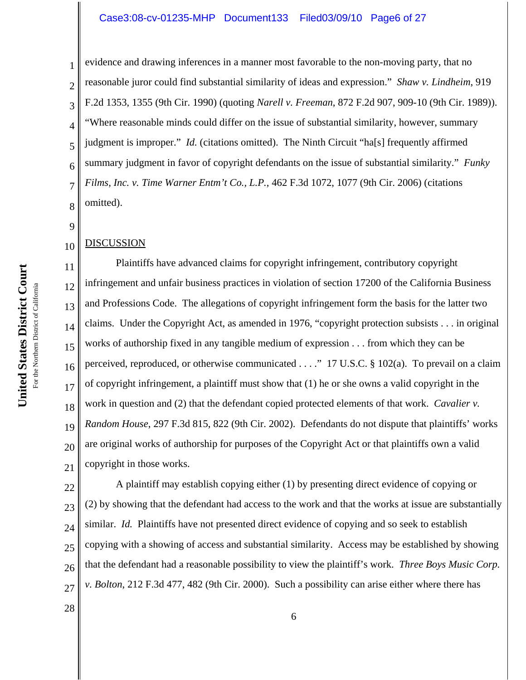#### Case3:08-cv-01235-MHP Document133 Filed03/09/10 Page6 of 27

evidence and drawing inferences in a manner most favorable to the non-moving party, that no reasonable juror could find substantial similarity of ideas and expression." *Shaw v. Lindheim*, 919 F.2d 1353, 1355 (9th Cir. 1990) (quoting *Narell v. Freeman*, 872 F.2d 907, 909-10 (9th Cir. 1989)). "Where reasonable minds could differ on the issue of substantial similarity, however, summary judgment is improper." *Id.* (citations omitted). The Ninth Circuit "ha[s] frequently affirmed summary judgment in favor of copyright defendants on the issue of substantial similarity." *Funky Films, Inc. v. Time Warner Entm't Co., L.P.*, 462 F.3d 1072, 1077 (9th Cir. 2006) (citations omitted).

#### 10 DISCUSSION

1

2

3

4

5

6

7

8

9

28

11 12 13 14 15 16 17 18 19 20 21 Plaintiffs have advanced claims for copyright infringement, contributory copyright infringement and unfair business practices in violation of section 17200 of the California Business and Professions Code. The allegations of copyright infringement form the basis for the latter two claims. Under the Copyright Act, as amended in 1976, "copyright protection subsists . . . in original works of authorship fixed in any tangible medium of expression . . . from which they can be perceived, reproduced, or otherwise communicated . . . ." 17 U.S.C. § 102(a). To prevail on a claim of copyright infringement, a plaintiff must show that (1) he or she owns a valid copyright in the work in question and (2) that the defendant copied protected elements of that work. *Cavalier v. Random House*, 297 F.3d 815, 822 (9th Cir. 2002). Defendants do not dispute that plaintiffs' works are original works of authorship for purposes of the Copyright Act or that plaintiffs own a valid copyright in those works.

22 23 24 25 26 27 A plaintiff may establish copying either (1) by presenting direct evidence of copying or (2) by showing that the defendant had access to the work and that the works at issue are substantially similar. *Id.* Plaintiffs have not presented direct evidence of copying and so seek to establish copying with a showing of access and substantial similarity. Access may be established by showing that the defendant had a reasonable possibility to view the plaintiff's work. *Three Boys Music Corp. v. Bolton*, 212 F.3d 477, 482 (9th Cir. 2000). Such a possibility can arise either where there has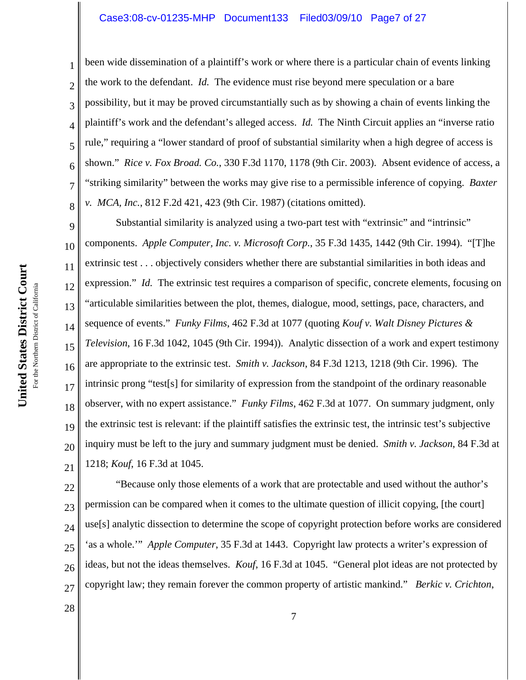#### Case3:08-cv-01235-MHP Document133 Filed03/09/10 Page7 of 27

been wide dissemination of a plaintiff's work or where there is a particular chain of events linking the work to the defendant. *Id.* The evidence must rise beyond mere speculation or a bare possibility, but it may be proved circumstantially such as by showing a chain of events linking the plaintiff's work and the defendant's alleged access. *Id.* The Ninth Circuit applies an "inverse ratio rule," requiring a "lower standard of proof of substantial similarity when a high degree of access is shown." *Rice v. Fox Broad. Co.*, 330 F.3d 1170, 1178 (9th Cir. 2003). Absent evidence of access, a "striking similarity" between the works may give rise to a permissible inference of copying. *Baxter v. MCA, Inc.*, 812 F.2d 421, 423 (9th Cir. 1987) (citations omitted).

9 10 11 12 13 14 15 16 17 18 19 20 21 Substantial similarity is analyzed using a two-part test with "extrinsic" and "intrinsic" components. *Apple Computer, Inc. v. Microsoft Corp.*, 35 F.3d 1435, 1442 (9th Cir. 1994). "[T]he extrinsic test . . . objectively considers whether there are substantial similarities in both ideas and expression." *Id.* The extrinsic test requires a comparison of specific, concrete elements, focusing on "articulable similarities between the plot, themes, dialogue, mood, settings, pace, characters, and sequence of events." *Funky Films*, 462 F.3d at 1077 (quoting *Kouf v. Walt Disney Pictures & Television*, 16 F.3d 1042, 1045 (9th Cir. 1994)). Analytic dissection of a work and expert testimony are appropriate to the extrinsic test. *Smith v. Jackson*, 84 F.3d 1213, 1218 (9th Cir. 1996). The intrinsic prong "test[s] for similarity of expression from the standpoint of the ordinary reasonable observer, with no expert assistance." *Funky Films*, 462 F.3d at 1077. On summary judgment, only the extrinsic test is relevant: if the plaintiff satisfies the extrinsic test, the intrinsic test's subjective inquiry must be left to the jury and summary judgment must be denied. *Smith v. Jackson*, 84 F.3d at 1218; *Kouf*, 16 F.3d at 1045.

22 23 24 25 26 27 "Because only those elements of a work that are protectable and used without the author's permission can be compared when it comes to the ultimate question of illicit copying, [the court] use[s] analytic dissection to determine the scope of copyright protection before works are considered 'as a whole.'" *Apple Computer*, 35 F.3d at 1443. Copyright law protects a writer's expression of ideas, but not the ideas themselves. *Kouf*, 16 F.3d at 1045. "General plot ideas are not protected by copyright law; they remain forever the common property of artistic mankind." *Berkic v. Crichton*,

1

2

3

4

5

6

7

8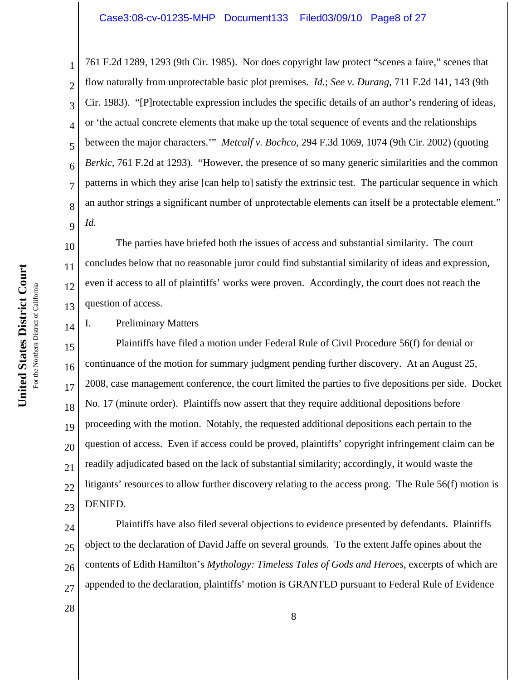761 F.2d 1289, 1293 (9th Cir. 1985). Nor does copyright law protect "scenes a faire," scenes that flow naturally from unprotectable basic plot premises. *Id.*; *See v. Durang*, 711 F.2d 141, 143 (9th Cir. 1983). "[P]rotectable expression includes the specific details of an author's rendering of ideas, or 'the actual concrete elements that make up the total sequence of events and the relationships between the major characters.'" *Metcalf v. Bochco*, 294 F.3d 1069, 1074 (9th Cir. 2002) (quoting *Berkic*, 761 F.2d at 1293). "However, the presence of so many generic similarities and the common patterns in which they arise [can help to] satisfy the extrinsic test. The particular sequence in which an author strings a significant number of unprotectable elements can itself be a protectable element." *Id.*

10 12 The parties have briefed both the issues of access and substantial similarity. The court concludes below that no reasonable juror could find substantial similarity of ideas and expression, even if access to all of plaintiffs' works were proven. Accordingly, the court does not reach the question of access.

# I. Preliminary Matters

15 16 17 18 19 20 21 22 23 Plaintiffs have filed a motion under Federal Rule of Civil Procedure 56(f) for denial or continuance of the motion for summary judgment pending further discovery. At an August 25, 2008, case management conference, the court limited the parties to five depositions per side. Docket No. 17 (minute order). Plaintiffs now assert that they require additional depositions before proceeding with the motion. Notably, the requested additional depositions each pertain to the question of access. Even if access could be proved, plaintiffs' copyright infringement claim can be readily adjudicated based on the lack of substantial similarity; accordingly, it would waste the litigants' resources to allow further discovery relating to the access prong. The Rule 56(f) motion is DENIED.

24 25 26 27 Plaintiffs have also filed several objections to evidence presented by defendants. Plaintiffs object to the declaration of David Jaffe on several grounds. To the extent Jaffe opines about the contents of Edith Hamilton's *Mythology: Timeless Tales of Gods and Heroes*, excerpts of which are appended to the declaration, plaintiffs' motion is GRANTED pursuant to Federal Rule of Evidence

United States District Court **United States District Court** For the Northern District of California For the Northern District of California 1

2

3

4

5

6

7

8

9

11

13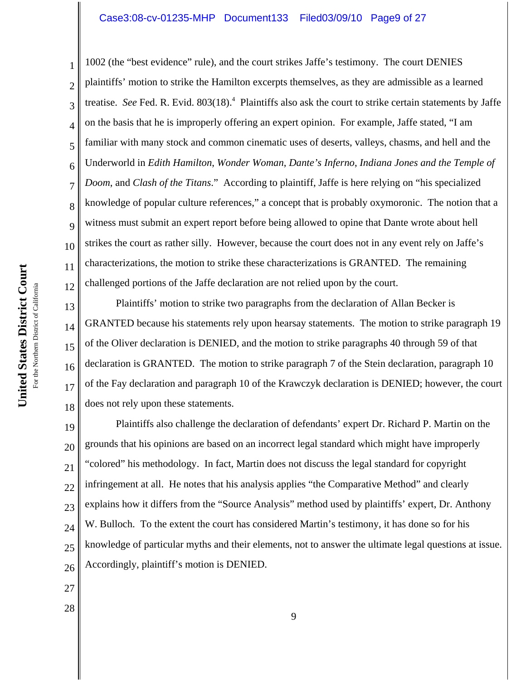## Case3:08-cv-01235-MHP Document133 Filed03/09/10 Page9 of 27

2 3 4 5 6 7 8 9 10 12 1002 (the "best evidence" rule), and the court strikes Jaffe's testimony. The court DENIES plaintiffs' motion to strike the Hamilton excerpts themselves, as they are admissible as a learned treatise. See Fed. R. Evid. 803(18).<sup>4</sup> Plaintiffs also ask the court to strike certain statements by Jaffe on the basis that he is improperly offering an expert opinion. For example, Jaffe stated, "I am familiar with many stock and common cinematic uses of deserts, valleys, chasms, and hell and the Underworld in *Edith Hamilton*, *Wonder Woman*, *Dante's Inferno*, *Indiana Jones and the Temple of Doom*, and *Clash of the Titans*." According to plaintiff, Jaffe is here relying on "his specialized knowledge of popular culture references," a concept that is probably oxymoronic. The notion that a witness must submit an expert report before being allowed to opine that Dante wrote about hell strikes the court as rather silly. However, because the court does not in any event rely on Jaffe's characterizations, the motion to strike these characterizations is GRANTED. The remaining challenged portions of the Jaffe declaration are not relied upon by the court.

13 14 15 16 17 18 Plaintiffs' motion to strike two paragraphs from the declaration of Allan Becker is GRANTED because his statements rely upon hearsay statements. The motion to strike paragraph 19 of the Oliver declaration is DENIED, and the motion to strike paragraphs 40 through 59 of that declaration is GRANTED. The motion to strike paragraph 7 of the Stein declaration, paragraph 10 of the Fay declaration and paragraph 10 of the Krawczyk declaration is DENIED; however, the court does not rely upon these statements.

19 20 21 22 23 24 25 26 Plaintiffs also challenge the declaration of defendants' expert Dr. Richard P. Martin on the grounds that his opinions are based on an incorrect legal standard which might have improperly "colored" his methodology. In fact, Martin does not discuss the legal standard for copyright infringement at all. He notes that his analysis applies "the Comparative Method" and clearly explains how it differs from the "Source Analysis" method used by plaintiffs' expert, Dr. Anthony W. Bulloch. To the extent the court has considered Martin's testimony, it has done so for his knowledge of particular myths and their elements, not to answer the ultimate legal questions at issue. Accordingly, plaintiff's motion is DENIED.

- 27
- 28

1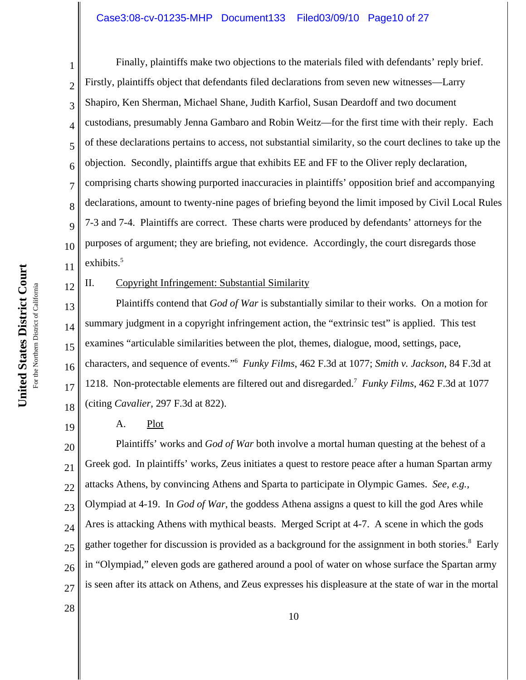# Case3:08-cv-01235-MHP Document133 Filed03/09/10 Page10 of 27

United States District Court **United States District Court** For the Northern District of California For the Northern District of California

12

19

1 2 3 4 5 6 7 8 9 10 11 Finally, plaintiffs make two objections to the materials filed with defendants' reply brief. Firstly, plaintiffs object that defendants filed declarations from seven new witnesses—Larry Shapiro, Ken Sherman, Michael Shane, Judith Karfiol, Susan Deardoff and two document custodians, presumably Jenna Gambaro and Robin Weitz—for the first time with their reply. Each of these declarations pertains to access, not substantial similarity, so the court declines to take up the objection. Secondly, plaintiffs argue that exhibits EE and FF to the Oliver reply declaration, comprising charts showing purported inaccuracies in plaintiffs' opposition brief and accompanying declarations, amount to twenty-nine pages of briefing beyond the limit imposed by Civil Local Rules 7-3 and 7-4. Plaintiffs are correct. These charts were produced by defendants' attorneys for the purposes of argument; they are briefing, not evidence. Accordingly, the court disregards those exhibits.<sup>5</sup>

II. Copyright Infringement: Substantial Similarity

13 14 15 16 17 18 Plaintiffs contend that *God of War* is substantially similar to their works. On a motion for summary judgment in a copyright infringement action, the "extrinsic test" is applied. This test examines "articulable similarities between the plot, themes, dialogue, mood, settings, pace, characters, and sequence of events."6 *Funky Films*, 462 F.3d at 1077; *Smith v. Jackson*, 84 F.3d at 1218. Non-protectable elements are filtered out and disregarded.7 *Funky Films*, 462 F.3d at 1077 (citing *Cavalier*, 297 F.3d at 822).

A. Plot

20 21 22 23 24 25 26 27 Plaintiffs' works and *God of War* both involve a mortal human questing at the behest of a Greek god. In plaintiffs' works, Zeus initiates a quest to restore peace after a human Spartan army attacks Athens, by convincing Athens and Sparta to participate in Olympic Games. *See, e.g.,* Olympiad at 4-19. In *God of War*, the goddess Athena assigns a quest to kill the god Ares while Ares is attacking Athens with mythical beasts. Merged Script at 4-7. A scene in which the gods gather together for discussion is provided as a background for the assignment in both stories.<sup>8</sup> Early in "Olympiad," eleven gods are gathered around a pool of water on whose surface the Spartan army is seen after its attack on Athens, and Zeus expresses his displeasure at the state of war in the mortal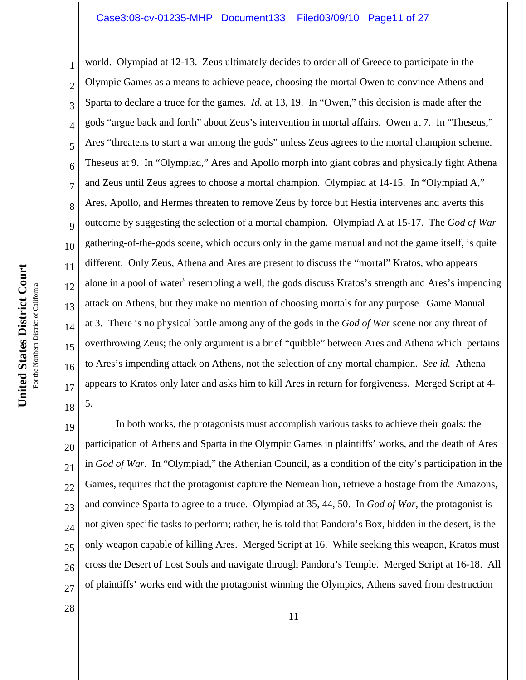1 2 3 4 5 6 7 8 9 10 11 12 13 14 15 16 17 18 world. Olympiad at 12-13. Zeus ultimately decides to order all of Greece to participate in the Olympic Games as a means to achieve peace, choosing the mortal Owen to convince Athens and Sparta to declare a truce for the games. *Id.* at 13, 19. In "Owen," this decision is made after the gods "argue back and forth" about Zeus's intervention in mortal affairs. Owen at 7. In "Theseus," Ares "threatens to start a war among the gods" unless Zeus agrees to the mortal champion scheme. Theseus at 9. In "Olympiad," Ares and Apollo morph into giant cobras and physically fight Athena and Zeus until Zeus agrees to choose a mortal champion. Olympiad at 14-15. In "Olympiad A," Ares, Apollo, and Hermes threaten to remove Zeus by force but Hestia intervenes and averts this outcome by suggesting the selection of a mortal champion. Olympiad A at 15-17. The *God of War* gathering-of-the-gods scene, which occurs only in the game manual and not the game itself, is quite different. Only Zeus, Athena and Ares are present to discuss the "mortal" Kratos, who appears alone in a pool of water<sup>9</sup> resembling a well; the gods discuss Kratos's strength and Ares's impending attack on Athens, but they make no mention of choosing mortals for any purpose. Game Manual at 3. There is no physical battle among any of the gods in the *God of War* scene nor any threat of overthrowing Zeus; the only argument is a brief "quibble" between Ares and Athena which pertains to Ares's impending attack on Athens, not the selection of any mortal champion. *See id.* Athena appears to Kratos only later and asks him to kill Ares in return for forgiveness. Merged Script at 4- 5.

19 20 21 22 23 24 25 26 27 In both works, the protagonists must accomplish various tasks to achieve their goals: the participation of Athens and Sparta in the Olympic Games in plaintiffs' works, and the death of Ares in *God of War*. In "Olympiad," the Athenian Council, as a condition of the city's participation in the Games, requires that the protagonist capture the Nemean lion, retrieve a hostage from the Amazons, and convince Sparta to agree to a truce. Olympiad at 35, 44, 50. In *God of War*, the protagonist is not given specific tasks to perform; rather, he is told that Pandora's Box, hidden in the desert, is the only weapon capable of killing Ares. Merged Script at 16. While seeking this weapon, Kratos must cross the Desert of Lost Souls and navigate through Pandora's Temple. Merged Script at 16-18. All of plaintiffs' works end with the protagonist winning the Olympics, Athens saved from destruction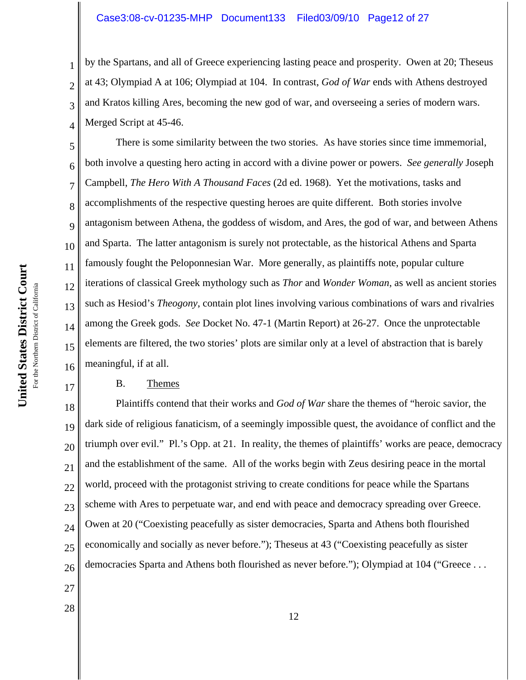by the Spartans, and all of Greece experiencing lasting peace and prosperity. Owen at 20; Theseus at 43; Olympiad A at 106; Olympiad at 104. In contrast, *God of War* ends with Athens destroyed and Kratos killing Ares, becoming the new god of war, and overseeing a series of modern wars. Merged Script at 45-46.

5 6 7 8 9 10 12 13 14 15 16 There is some similarity between the two stories. As have stories since time immemorial, both involve a questing hero acting in accord with a divine power or powers. *See generally* Joseph Campbell, *The Hero With A Thousand Faces* (2d ed. 1968). Yet the motivations, tasks and accomplishments of the respective questing heroes are quite different. Both stories involve antagonism between Athena, the goddess of wisdom, and Ares, the god of war, and between Athens and Sparta. The latter antagonism is surely not protectable, as the historical Athens and Sparta famously fought the Peloponnesian War. More generally, as plaintiffs note, popular culture iterations of classical Greek mythology such as *Thor* and *Wonder Woman*, as well as ancient stories such as Hesiod's *Theogony*, contain plot lines involving various combinations of wars and rivalries among the Greek gods. *See* Docket No. 47-1 (Martin Report) at 26-27. Once the unprotectable elements are filtered, the two stories' plots are similar only at a level of abstraction that is barely meaningful, if at all.

## B. Themes

18 19 20 21 22 23 24 25 26 Plaintiffs contend that their works and *God of War* share the themes of "heroic savior, the dark side of religious fanaticism, of a seemingly impossible quest, the avoidance of conflict and the triumph over evil." Pl.'s Opp. at 21. In reality, the themes of plaintiffs' works are peace, democracy and the establishment of the same. All of the works begin with Zeus desiring peace in the mortal world, proceed with the protagonist striving to create conditions for peace while the Spartans scheme with Ares to perpetuate war, and end with peace and democracy spreading over Greece. Owen at 20 ("Coexisting peacefully as sister democracies, Sparta and Athens both flourished economically and socially as never before."); Theseus at 43 ("Coexisting peacefully as sister democracies Sparta and Athens both flourished as never before."); Olympiad at 104 ("Greece . . .

United States District Court **United States District Court** For the Northern District of California For the Northern District of California 1

2

3

4

11

17

27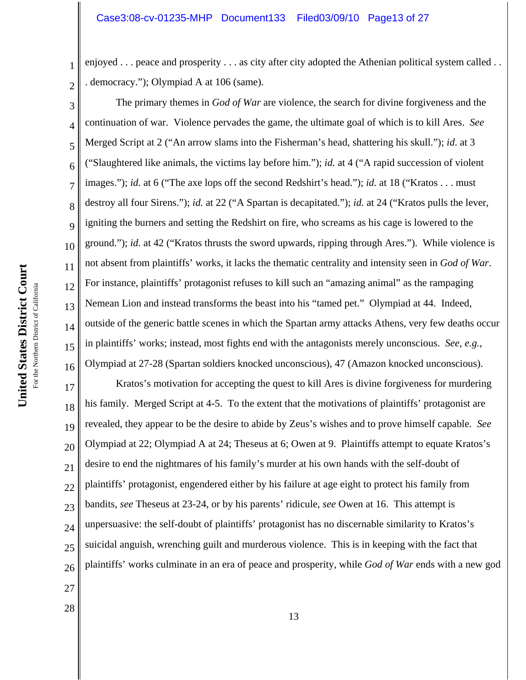enjoyed . . . peace and prosperity . . . as city after city adopted the Athenian political system called . . . democracy."); Olympiad A at 106 (same).

3 4 5 6 8 9 10 12 13 14 15 16 The primary themes in *God of War* are violence, the search for divine forgiveness and the continuation of war. Violence pervades the game, the ultimate goal of which is to kill Ares. *See* Merged Script at 2 ("An arrow slams into the Fisherman's head, shattering his skull."); *id*. at 3 ("Slaughtered like animals, the victims lay before him."); *id.* at 4 ("A rapid succession of violent images."); *id.* at 6 ("The axe lops off the second Redshirt's head."); *id.* at 18 ("Kratos . . . must destroy all four Sirens."); *id.* at 22 ("A Spartan is decapitated."); *id.* at 24 ("Kratos pulls the lever, igniting the burners and setting the Redshirt on fire, who screams as his cage is lowered to the ground."); *id.* at 42 ("Kratos thrusts the sword upwards, ripping through Ares."). While violence is not absent from plaintiffs' works, it lacks the thematic centrality and intensity seen in *God of War*. For instance, plaintiffs' protagonist refuses to kill such an "amazing animal" as the rampaging Nemean Lion and instead transforms the beast into his "tamed pet." Olympiad at 44. Indeed, outside of the generic battle scenes in which the Spartan army attacks Athens, very few deaths occur in plaintiffs' works; instead, most fights end with the antagonists merely unconscious. *See, e.g.*, Olympiad at 27-28 (Spartan soldiers knocked unconscious), 47 (Amazon knocked unconscious).

17 18 19 20 21 22 23 24 25 26 Kratos's motivation for accepting the quest to kill Ares is divine forgiveness for murdering his family. Merged Script at 4-5. To the extent that the motivations of plaintiffs' protagonist are revealed, they appear to be the desire to abide by Zeus's wishes and to prove himself capable. *See* Olympiad at 22; Olympiad A at 24; Theseus at 6; Owen at 9. Plaintiffs attempt to equate Kratos's desire to end the nightmares of his family's murder at his own hands with the self-doubt of plaintiffs' protagonist, engendered either by his failure at age eight to protect his family from bandits, *see* Theseus at 23-24, or by his parents' ridicule, *see* Owen at 16. This attempt is unpersuasive: the self-doubt of plaintiffs' protagonist has no discernable similarity to Kratos's suicidal anguish, wrenching guilt and murderous violence. This is in keeping with the fact that plaintiffs' works culminate in an era of peace and prosperity, while *God of War* ends with a new god

- 27 28
- 

1

2

7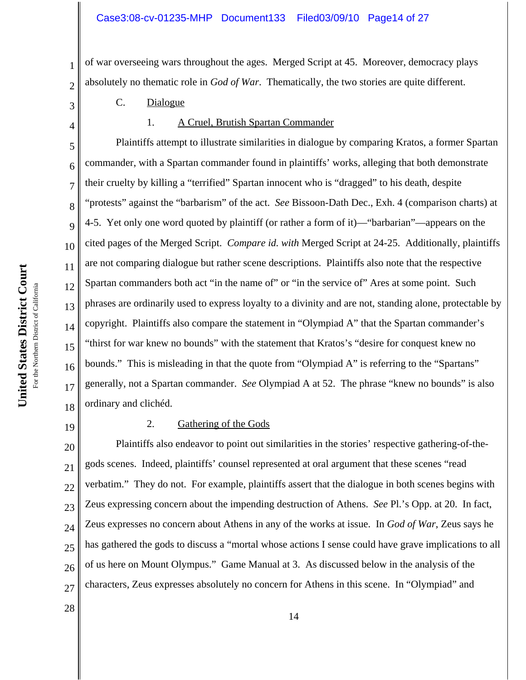of war overseeing wars throughout the ages. Merged Script at 45. Moreover, democracy plays absolutely no thematic role in *God of War*. Thematically, the two stories are quite different.

- C. Dialogue
- 4

1

2

3

5

6

7

8

9

11

12

14

15

17

1. A Cruel, Brutish Spartan Commander

10 13 16 18 Plaintiffs attempt to illustrate similarities in dialogue by comparing Kratos, a former Spartan commander, with a Spartan commander found in plaintiffs' works, alleging that both demonstrate their cruelty by killing a "terrified" Spartan innocent who is "dragged" to his death, despite "protests" against the "barbarism" of the act. *See* Bissoon-Dath Dec., Exh. 4 (comparison charts) at 4-5. Yet only one word quoted by plaintiff (or rather a form of it)—"barbarian"—appears on the cited pages of the Merged Script. *Compare id. with* Merged Script at 24-25. Additionally, plaintiffs are not comparing dialogue but rather scene descriptions. Plaintiffs also note that the respective Spartan commanders both act "in the name of" or "in the service of" Ares at some point. Such phrases are ordinarily used to express loyalty to a divinity and are not, standing alone, protectable by copyright. Plaintiffs also compare the statement in "Olympiad A" that the Spartan commander's "thirst for war knew no bounds" with the statement that Kratos's "desire for conquest knew no bounds." This is misleading in that the quote from "Olympiad A" is referring to the "Spartans" generally, not a Spartan commander. *See* Olympiad A at 52. The phrase "knew no bounds" is also ordinary and clichéd.

19

28

### 2. Gathering of the Gods

20 21 22 23 24 25 26 27 Plaintiffs also endeavor to point out similarities in the stories' respective gathering-of-thegods scenes. Indeed, plaintiffs' counsel represented at oral argument that these scenes "read verbatim." They do not. For example, plaintiffs assert that the dialogue in both scenes begins with Zeus expressing concern about the impending destruction of Athens. *See* Pl.'s Opp. at 20. In fact, Zeus expresses no concern about Athens in any of the works at issue. In *God of War*, Zeus says he has gathered the gods to discuss a "mortal whose actions I sense could have grave implications to all of us here on Mount Olympus." Game Manual at 3. As discussed below in the analysis of the characters, Zeus expresses absolutely no concern for Athens in this scene. In "Olympiad" and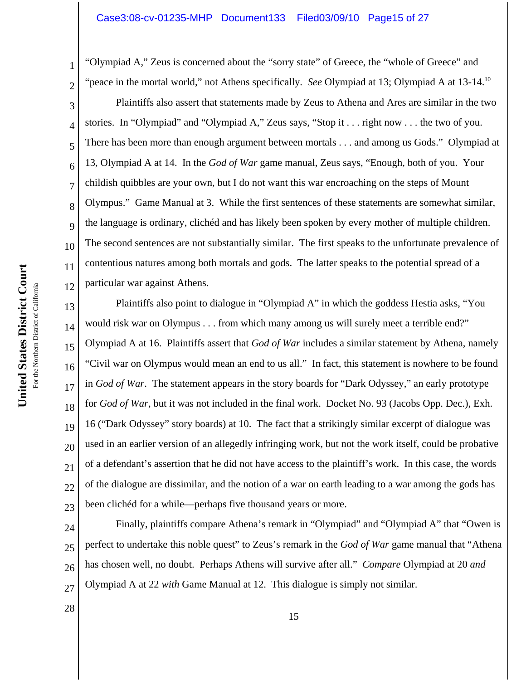2 3 4 5 6 7 8 9 10 12 "Olympiad A," Zeus is concerned about the "sorry state" of Greece, the "whole of Greece" and "peace in the mortal world," not Athens specifically. *See* Olympiad at 13; Olympiad A at 13-14.10 Plaintiffs also assert that statements made by Zeus to Athena and Ares are similar in the two stories. In "Olympiad" and "Olympiad A," Zeus says, "Stop it . . . right now . . . the two of you. There has been more than enough argument between mortals . . . and among us Gods." Olympiad at 13, Olympiad A at 14. In the *God of War* game manual, Zeus says, "Enough, both of you. Your childish quibbles are your own, but I do not want this war encroaching on the steps of Mount Olympus." Game Manual at 3. While the first sentences of these statements are somewhat similar, the language is ordinary, clichéd and has likely been spoken by every mother of multiple children. The second sentences are not substantially similar. The first speaks to the unfortunate prevalence of contentious natures among both mortals and gods. The latter speaks to the potential spread of a particular war against Athens.

13 14 15 16 17 18 19 20 21 22 23 Plaintiffs also point to dialogue in "Olympiad A" in which the goddess Hestia asks, "You would risk war on Olympus . . . from which many among us will surely meet a terrible end?" Olympiad A at 16. Plaintiffs assert that *God of War* includes a similar statement by Athena, namely "Civil war on Olympus would mean an end to us all." In fact, this statement is nowhere to be found in *God of War*. The statement appears in the story boards for "Dark Odyssey," an early prototype for *God of War*, but it was not included in the final work. Docket No. 93 (Jacobs Opp. Dec.), Exh. 16 ("Dark Odyssey" story boards) at 10. The fact that a strikingly similar excerpt of dialogue was used in an earlier version of an allegedly infringing work, but not the work itself, could be probative of a defendant's assertion that he did not have access to the plaintiff's work. In this case, the words of the dialogue are dissimilar, and the notion of a war on earth leading to a war among the gods has been clichéd for a while—perhaps five thousand years or more.

24 25 26 27 Finally, plaintiffs compare Athena's remark in "Olympiad" and "Olympiad A" that "Owen is perfect to undertake this noble quest" to Zeus's remark in the *God of War* game manual that "Athena has chosen well, no doubt. Perhaps Athens will survive after all." *Compare* Olympiad at 20 *and* Olympiad A at 22 *with* Game Manual at 12. This dialogue is simply not similar.

United States District Court **United States District Court** For the Northern District of California For the Northern District of California 1

11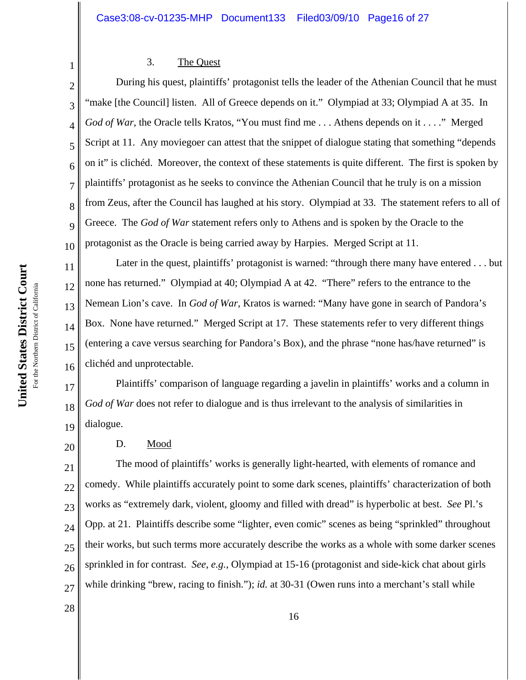## 3. The Quest

2 3 4 5 6 7 8 9 10 During his quest, plaintiffs' protagonist tells the leader of the Athenian Council that he must "make [the Council] listen. All of Greece depends on it." Olympiad at 33; Olympiad A at 35. In *God of War*, the Oracle tells Kratos, "You must find me . . . Athens depends on it . . . ." Merged Script at 11. Any moviegoer can attest that the snippet of dialogue stating that something "depends on it" is clichéd. Moreover, the context of these statements is quite different. The first is spoken by plaintiffs' protagonist as he seeks to convince the Athenian Council that he truly is on a mission from Zeus, after the Council has laughed at his story. Olympiad at 33. The statement refers to all of Greece. The *God of War* statement refers only to Athens and is spoken by the Oracle to the protagonist as the Oracle is being carried away by Harpies. Merged Script at 11.

13 Later in the quest, plaintiffs' protagonist is warned: "through there many have entered . . . but none has returned." Olympiad at 40; Olympiad A at 42. "There" refers to the entrance to the Nemean Lion's cave. In *God of War*, Kratos is warned: "Many have gone in search of Pandora's Box. None have returned." Merged Script at 17. These statements refer to very different things (entering a cave versus searching for Pandora's Box), and the phrase "none has/have returned" is clichéd and unprotectable.

17 18 19 Plaintiffs' comparison of language regarding a javelin in plaintiffs' works and a column in *God of War* does not refer to dialogue and is thus irrelevant to the analysis of similarities in dialogue.

# D. Mood

21 22 23 24 25 26 27 The mood of plaintiffs' works is generally light-hearted, with elements of romance and comedy. While plaintiffs accurately point to some dark scenes, plaintiffs' characterization of both works as "extremely dark, violent, gloomy and filled with dread" is hyperbolic at best. *See* Pl.'s Opp. at 21. Plaintiffs describe some "lighter, even comic" scenes as being "sprinkled" throughout their works, but such terms more accurately describe the works as a whole with some darker scenes sprinkled in for contrast. *See*, *e.g.*, Olympiad at 15-16 (protagonist and side-kick chat about girls while drinking "brew, racing to finish."); *id.* at 30-31 (Owen runs into a merchant's stall while

1

11

12

14

15

16

20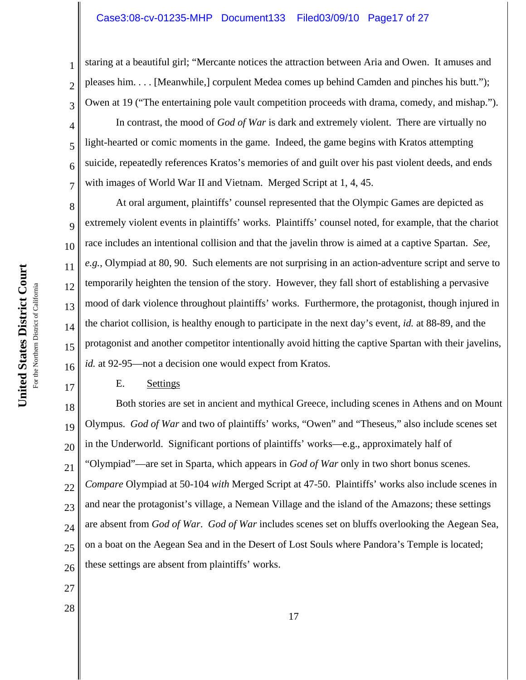staring at a beautiful girl; "Mercante notices the attraction between Aria and Owen. It amuses and pleases him. . . . [Meanwhile,] corpulent Medea comes up behind Camden and pinches his butt."); Owen at 19 ("The entertaining pole vault competition proceeds with drama, comedy, and mishap.").

In contrast, the mood of *God of War* is dark and extremely violent. There are virtually no light-hearted or comic moments in the game. Indeed, the game begins with Kratos attempting suicide, repeatedly references Kratos's memories of and guilt over his past violent deeds, and ends with images of World War II and Vietnam. Merged Script at 1, 4, 45.

8 10 13 16 At oral argument, plaintiffs' counsel represented that the Olympic Games are depicted as extremely violent events in plaintiffs' works. Plaintiffs' counsel noted, for example, that the chariot race includes an intentional collision and that the javelin throw is aimed at a captive Spartan. *See, e.g.*, Olympiad at 80, 90. Such elements are not surprising in an action-adventure script and serve to temporarily heighten the tension of the story. However, they fall short of establishing a pervasive mood of dark violence throughout plaintiffs' works. Furthermore, the protagonist, though injured in the chariot collision, is healthy enough to participate in the next day's event, *id.* at 88-89, and the protagonist and another competitor intentionally avoid hitting the captive Spartan with their javelins, *id.* at 92-95—not a decision one would expect from Kratos.

# E. Settings

18 19 20 21 22 23 24 25 26 Both stories are set in ancient and mythical Greece, including scenes in Athens and on Mount Olympus. *God of War* and two of plaintiffs' works, "Owen" and "Theseus," also include scenes set in the Underworld. Significant portions of plaintiffs' works—e.g., approximately half of "Olympiad"—are set in Sparta, which appears in *God of War* only in two short bonus scenes. *Compare* Olympiad at 50-104 *with* Merged Script at 47-50. Plaintiffs' works also include scenes in and near the protagonist's village, a Nemean Village and the island of the Amazons; these settings are absent from *God of War*. *God of War* includes scenes set on bluffs overlooking the Aegean Sea, on a boat on the Aegean Sea and in the Desert of Lost Souls where Pandora's Temple is located; these settings are absent from plaintiffs' works.

- 27
- 28

United States District Court **United States District Court** For the Northern District of California For the Northern District of California 1

2

3

4

5

6

7

9

11

12

14

15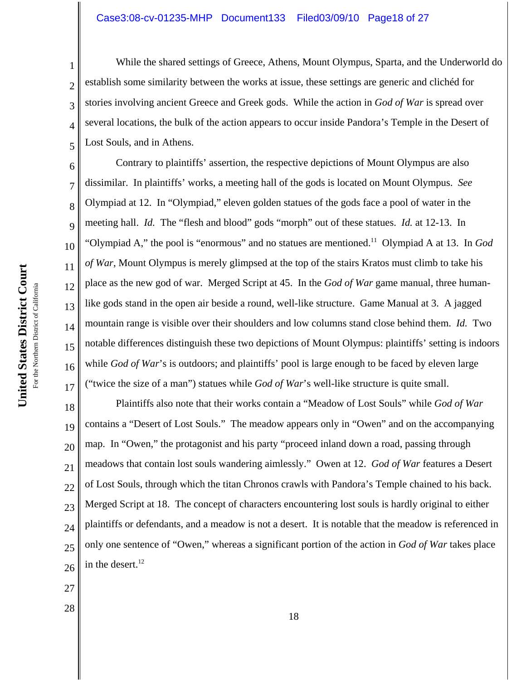# Case3:08-cv-01235-MHP Document133 Filed03/09/10 Page18 of 27

While the shared settings of Greece, Athens, Mount Olympus, Sparta, and the Underworld do establish some similarity between the works at issue, these settings are generic and clichéd for stories involving ancient Greece and Greek gods. While the action in *God of War* is spread over several locations, the bulk of the action appears to occur inside Pandora's Temple in the Desert of Lost Souls, and in Athens.

6 7 8 9 10 12 13 14 15 16 17 Contrary to plaintiffs' assertion, the respective depictions of Mount Olympus are also dissimilar. In plaintiffs' works, a meeting hall of the gods is located on Mount Olympus. *See* Olympiad at 12. In "Olympiad," eleven golden statues of the gods face a pool of water in the meeting hall. *Id.* The "flesh and blood" gods "morph" out of these statues. *Id.* at 12-13. In "Olympiad A," the pool is "enormous" and no statues are mentioned.11 Olympiad A at 13. In *God of War*, Mount Olympus is merely glimpsed at the top of the stairs Kratos must climb to take his place as the new god of war. Merged Script at 45. In the *God of War* game manual, three humanlike gods stand in the open air beside a round, well-like structure. Game Manual at 3. A jagged mountain range is visible over their shoulders and low columns stand close behind them. *Id.* Two notable differences distinguish these two depictions of Mount Olympus: plaintiffs' setting is indoors while *God of War's* is outdoors; and plaintiffs' pool is large enough to be faced by eleven large ("twice the size of a man") statues while *God of War*'s well-like structure is quite small.

18 19 20 21 22 23 24 25 26 Plaintiffs also note that their works contain a "Meadow of Lost Souls" while *God of War* contains a "Desert of Lost Souls." The meadow appears only in "Owen" and on the accompanying map. In "Owen," the protagonist and his party "proceed inland down a road, passing through meadows that contain lost souls wandering aimlessly." Owen at 12. *God of War* features a Desert of Lost Souls, through which the titan Chronos crawls with Pandora's Temple chained to his back. Merged Script at 18. The concept of characters encountering lost souls is hardly original to either plaintiffs or defendants, and a meadow is not a desert. It is notable that the meadow is referenced in only one sentence of "Owen," whereas a significant portion of the action in *God of War* takes place in the desert. 12

- 27
- 28

United States District Court **United States District Court** For the Northern District of California For the Northern District of California 1

2

3

4

5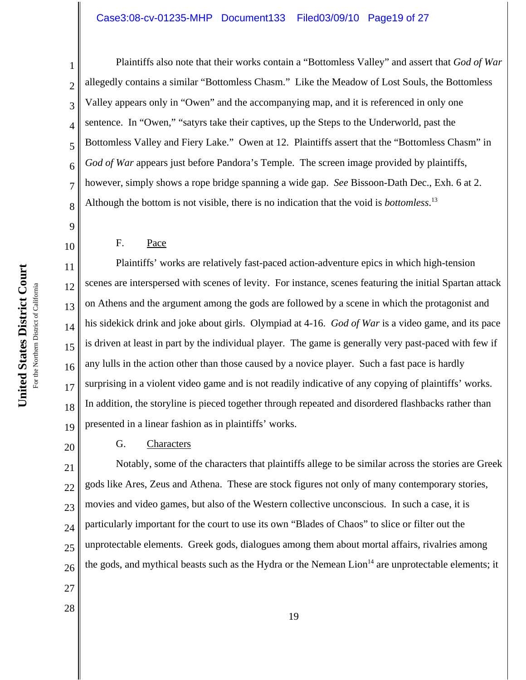# Case3:08-cv-01235-MHP Document133 Filed03/09/10 Page19 of 27

1 2 3 4 5 6 7 8 Plaintiffs also note that their works contain a "Bottomless Valley" and assert that *God of War* allegedly contains a similar "Bottomless Chasm." Like the Meadow of Lost Souls, the Bottomless Valley appears only in "Owen" and the accompanying map, and it is referenced in only one sentence. In "Owen," "satyrs take their captives, up the Steps to the Underworld, past the Bottomless Valley and Fiery Lake." Owen at 12. Plaintiffs assert that the "Bottomless Chasm" in God of War appears just before Pandora's Temple. The screen image provided by plaintiffs, however, simply shows a rope bridge spanning a wide gap. *See* Bissoon-Dath Dec., Exh. 6 at 2. Although the bottom is not visible, there is no indication that the void is *bottomless*. 13

9

10

11

12

14

15

17

18

20

## F. Pace

13 16 19 Plaintiffs' works are relatively fast-paced action-adventure epics in which high-tension scenes are interspersed with scenes of levity. For instance, scenes featuring the initial Spartan attack on Athens and the argument among the gods are followed by a scene in which the protagonist and his sidekick drink and joke about girls. Olympiad at 4-16. *God of War* is a video game, and its pace is driven at least in part by the individual player. The game is generally very past-paced with few if any lulls in the action other than those caused by a novice player. Such a fast pace is hardly surprising in a violent video game and is not readily indicative of any copying of plaintiffs' works. In addition, the storyline is pieced together through repeated and disordered flashbacks rather than presented in a linear fashion as in plaintiffs' works.

## G. Characters

21 22 23 24 25 26 Notably, some of the characters that plaintiffs allege to be similar across the stories are Greek gods like Ares, Zeus and Athena. These are stock figures not only of many contemporary stories, movies and video games, but also of the Western collective unconscious. In such a case, it is particularly important for the court to use its own "Blades of Chaos" to slice or filter out the unprotectable elements. Greek gods, dialogues among them about mortal affairs, rivalries among the gods, and mythical beasts such as the Hydra or the Nemean  $L$ ion<sup>14</sup> are unprotectable elements; it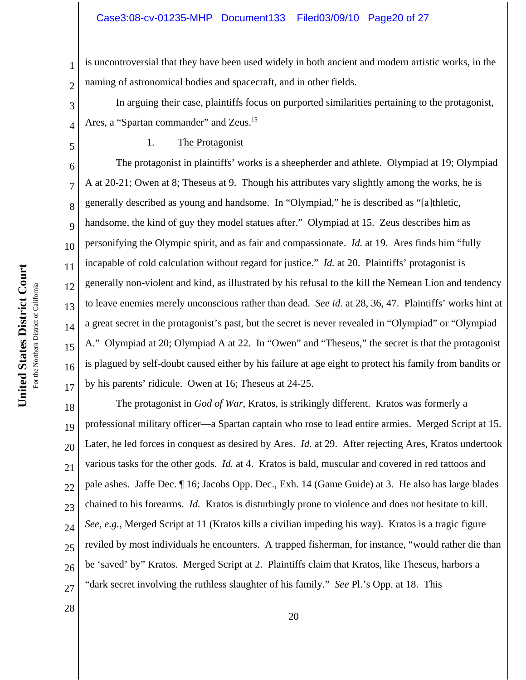1 2 is uncontroversial that they have been used widely in both ancient and modern artistic works, in the naming of astronomical bodies and spacecraft, and in other fields.

In arguing their case, plaintiffs focus on purported similarities pertaining to the protagonist, Ares, a "Spartan commander" and Zeus.<sup>15</sup>

4 5

7

8

9

10

11

12

13

14

15

16

17

28

3

## 1. The Protagonist

6 The protagonist in plaintiffs' works is a sheepherder and athlete. Olympiad at 19; Olympiad A at 20-21; Owen at 8; Theseus at 9. Though his attributes vary slightly among the works, he is generally described as young and handsome. In "Olympiad," he is described as "[a]thletic, handsome, the kind of guy they model statues after." Olympiad at 15. Zeus describes him as personifying the Olympic spirit, and as fair and compassionate. *Id.* at 19. Ares finds him "fully incapable of cold calculation without regard for justice." *Id.* at 20. Plaintiffs' protagonist is generally non-violent and kind, as illustrated by his refusal to the kill the Nemean Lion and tendency to leave enemies merely unconscious rather than dead. *See id.* at 28, 36, 47. Plaintiffs' works hint at a great secret in the protagonist's past, but the secret is never revealed in "Olympiad" or "Olympiad A." Olympiad at 20; Olympiad A at 22. In "Owen" and "Theseus," the secret is that the protagonist is plagued by self-doubt caused either by his failure at age eight to protect his family from bandits or by his parents' ridicule. Owen at 16; Theseus at 24-25.

18 19 20 21 22 23 24 25 26 27 The protagonist in *God of War*, Kratos, is strikingly different. Kratos was formerly a professional military officer—a Spartan captain who rose to lead entire armies. Merged Script at 15. Later, he led forces in conquest as desired by Ares. *Id.* at 29. After rejecting Ares, Kratos undertook various tasks for the other gods. *Id.* at 4. Kratos is bald, muscular and covered in red tattoos and pale ashes. Jaffe Dec. ¶ 16; Jacobs Opp. Dec., Exh. 14 (Game Guide) at 3. He also has large blades chained to his forearms. *Id.* Kratos is disturbingly prone to violence and does not hesitate to kill. *See*, *e.g.*, Merged Script at 11 (Kratos kills a civilian impeding his way). Kratos is a tragic figure reviled by most individuals he encounters. A trapped fisherman, for instance, "would rather die than be 'saved' by" Kratos. Merged Script at 2. Plaintiffs claim that Kratos, like Theseus, harbors a "dark secret involving the ruthless slaughter of his family." *See* Pl.'s Opp. at 18. This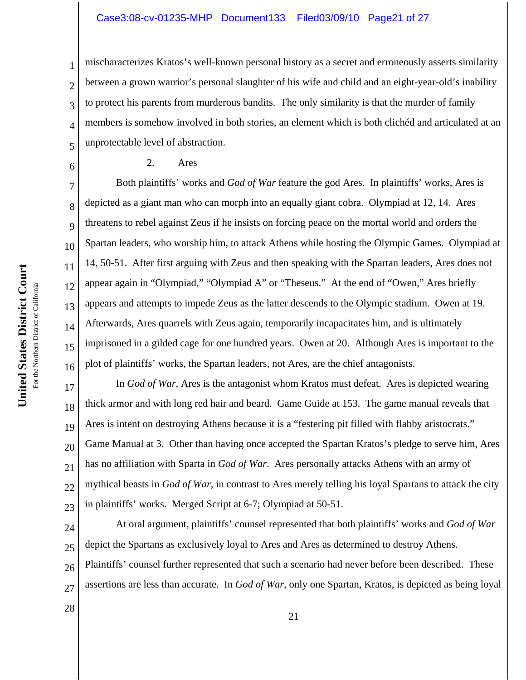## Case3:08-cv-01235-MHP Document133 Filed03/09/10 Page21 of 27

mischaracterizes Kratos's well-known personal history as a secret and erroneously asserts similarity between a grown warrior's personal slaughter of his wife and child and an eight-year-old's inability to protect his parents from murderous bandits. The only similarity is that the murder of family members is somehow involved in both stories, an element which is both clichéd and articulated at an unprotectable level of abstraction.

## 2. Ares

7 8 9 10 12 13 14 15 16 Both plaintiffs' works and *God of War* feature the god Ares. In plaintiffs' works, Ares is depicted as a giant man who can morph into an equally giant cobra. Olympiad at 12, 14. Ares threatens to rebel against Zeus if he insists on forcing peace on the mortal world and orders the Spartan leaders, who worship him, to attack Athens while hosting the Olympic Games. Olympiad at 14, 50-51. After first arguing with Zeus and then speaking with the Spartan leaders, Ares does not appear again in "Olympiad," "Olympiad A" or "Theseus." At the end of "Owen," Ares briefly appears and attempts to impede Zeus as the latter descends to the Olympic stadium. Owen at 19. Afterwards, Ares quarrels with Zeus again, temporarily incapacitates him, and is ultimately imprisoned in a gilded cage for one hundred years. Owen at 20. Although Ares is important to the plot of plaintiffs' works, the Spartan leaders, not Ares, are the chief antagonists.

17 18 19 20 21 22 23 In *God of War*, Ares is the antagonist whom Kratos must defeat. Ares is depicted wearing thick armor and with long red hair and beard. Game Guide at 153. The game manual reveals that Ares is intent on destroying Athens because it is a "festering pit filled with flabby aristocrats." Game Manual at 3. Other than having once accepted the Spartan Kratos's pledge to serve him, Ares has no affiliation with Sparta in *God of War*. Ares personally attacks Athens with an army of mythical beasts in *God of War*, in contrast to Ares merely telling his loyal Spartans to attack the city in plaintiffs' works. Merged Script at 6-7; Olympiad at 50-51.

24 25 26 27 At oral argument, plaintiffs' counsel represented that both plaintiffs' works and *God of War* depict the Spartans as exclusively loyal to Ares and Ares as determined to destroy Athens. Plaintiffs' counsel further represented that such a scenario had never before been described. These assertions are less than accurate. In *God of War*, only one Spartan, Kratos, is depicted as being loyal

United States District Court **United States District Court** For the Northern District of California For the Northern District of California 1

2

3

4

5

6

11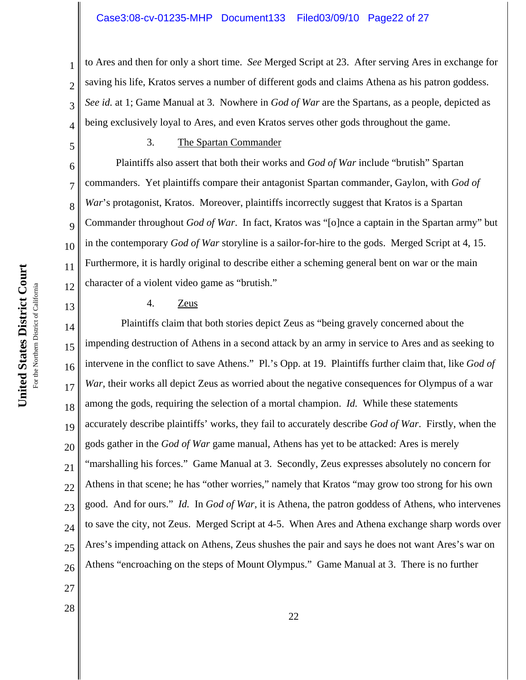2 3 4 to Ares and then for only a short time. *See* Merged Script at 23. After serving Ares in exchange for saving his life, Kratos serves a number of different gods and claims Athena as his patron goddess. *See id.* at 1; Game Manual at 3. Nowhere in *God of War* are the Spartans, as a people, depicted as being exclusively loyal to Ares, and even Kratos serves other gods throughout the game.

5

6

7

8

9

10

11

12

13

27

28

1

## 3. The Spartan Commander

Plaintiffs also assert that both their works and *God of War* include "brutish" Spartan commanders. Yet plaintiffs compare their antagonist Spartan commander, Gaylon, with *God of* War's protagonist, Kratos. Moreover, plaintiffs incorrectly suggest that Kratos is a Spartan Commander throughout *God of War*. In fact, Kratos was "[o]nce a captain in the Spartan army" but in the contemporary *God of War* storyline is a sailor-for-hire to the gods. Merged Script at 4, 15. Furthermore, it is hardly original to describe either a scheming general bent on war or the main character of a violent video game as "brutish."

# 4. Zeus

14 15 16 17 18 19 20 21 22 23 24 25 26 Plaintiffs claim that both stories depict Zeus as "being gravely concerned about the impending destruction of Athens in a second attack by an army in service to Ares and as seeking to intervene in the conflict to save Athens." Pl.'s Opp. at 19. Plaintiffs further claim that, like *God of War*, their works all depict Zeus as worried about the negative consequences for Olympus of a war among the gods, requiring the selection of a mortal champion. *Id.* While these statements accurately describe plaintiffs' works, they fail to accurately describe *God of War*. Firstly, when the gods gather in the *God of War* game manual, Athens has yet to be attacked: Ares is merely "marshalling his forces." Game Manual at 3. Secondly, Zeus expresses absolutely no concern for Athens in that scene; he has "other worries," namely that Kratos "may grow too strong for his own good. And for ours." *Id.* In *God of War*, it is Athena, the patron goddess of Athens, who intervenes to save the city, not Zeus. Merged Script at 4-5. When Ares and Athena exchange sharp words over Ares's impending attack on Athens, Zeus shushes the pair and says he does not want Ares's war on Athens "encroaching on the steps of Mount Olympus." Game Manual at 3. There is no further

United States District Court **United States District Court** For the Northern District of California For the Northern District of California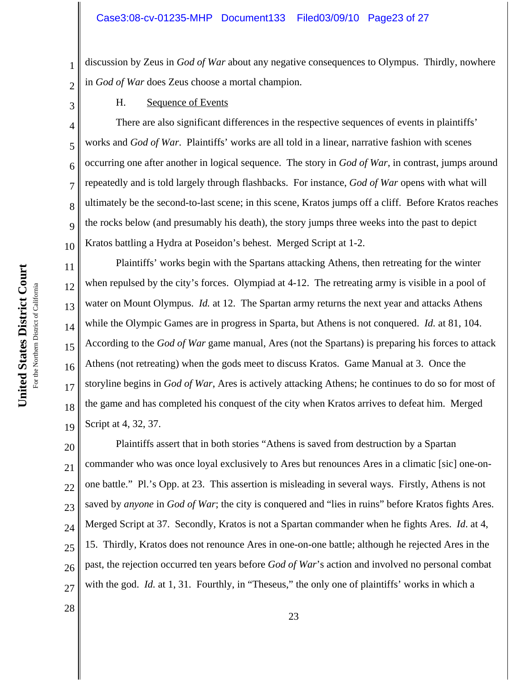discussion by Zeus in *God of War* about any negative consequences to Olympus. Thirdly, nowhere in *God of War* does Zeus choose a mortal champion.

H. Sequence of Events

There are also significant differences in the respective sequences of events in plaintiffs' works and *God of War*. Plaintiffs' works are all told in a linear, narrative fashion with scenes occurring one after another in logical sequence. The story in *God of War*, in contrast, jumps around repeatedly and is told largely through flashbacks. For instance, *God of War* opens with what will ultimately be the second-to-last scene; in this scene, Kratos jumps off a cliff. Before Kratos reaches the rocks below (and presumably his death), the story jumps three weeks into the past to depict Kratos battling a Hydra at Poseidon's behest. Merged Script at 1-2.

Plaintiffs' works begin with the Spartans attacking Athens, then retreating for the winter when repulsed by the city's forces. Olympiad at 4-12. The retreating army is visible in a pool of water on Mount Olympus. *Id.* at 12. The Spartan army returns the next year and attacks Athens while the Olympic Games are in progress in Sparta, but Athens is not conquered. *Id.* at 81, 104. According to the *God of War* game manual, Ares (not the Spartans) is preparing his forces to attack Athens (not retreating) when the gods meet to discuss Kratos. Game Manual at 3. Once the storyline begins in *God of War*, Ares is actively attacking Athens; he continues to do so for most of the game and has completed his conquest of the city when Kratos arrives to defeat him. Merged Script at 4, 32, 37.

20 21 22 23 24 25 26 27 Plaintiffs assert that in both stories "Athens is saved from destruction by a Spartan commander who was once loyal exclusively to Ares but renounces Ares in a climatic [sic] one-onone battle." Pl.'s Opp. at 23. This assertion is misleading in several ways. Firstly, Athens is not saved by *anyone* in *God of War*; the city is conquered and "lies in ruins" before Kratos fights Ares. Merged Script at 37. Secondly, Kratos is not a Spartan commander when he fights Ares. *Id*. at 4, 15. Thirdly, Kratos does not renounce Ares in one-on-one battle; although he rejected Ares in the past, the rejection occurred ten years before *God of War*'s action and involved no personal combat with the god. *Id.* at 1, 31. Fourthly, in "Theseus," the only one of plaintiffs' works in which a

United States District Court **United States District Court** For the Northern District of California For the Northern District of California 1

2

3

4

5

6

7

8

9

10

11

12

13

14

15

16

17

18

19

28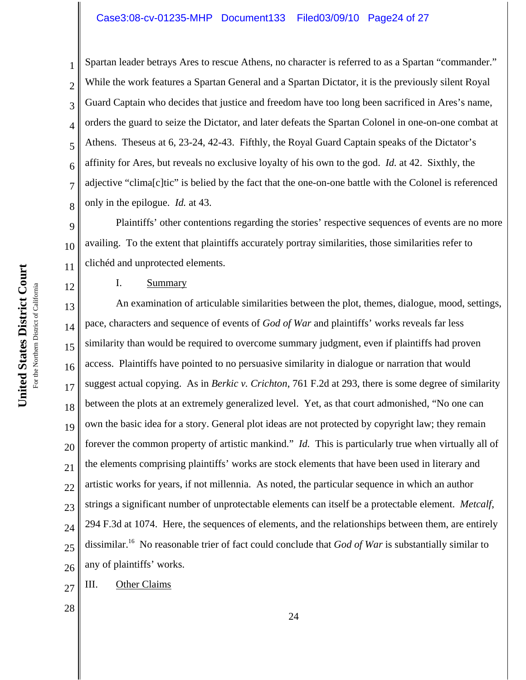# Case3:08-cv-01235-MHP Document133 Filed03/09/10 Page24 of 27

Spartan leader betrays Ares to rescue Athens, no character is referred to as a Spartan "commander." While the work features a Spartan General and a Spartan Dictator, it is the previously silent Royal Guard Captain who decides that justice and freedom have too long been sacrificed in Ares's name, orders the guard to seize the Dictator, and later defeats the Spartan Colonel in one-on-one combat at Athens. Theseus at 6, 23-24, 42-43. Fifthly, the Royal Guard Captain speaks of the Dictator's affinity for Ares, but reveals no exclusive loyalty of his own to the god. *Id.* at 42. Sixthly, the adjective "clima[c]tic" is belied by the fact that the one-on-one battle with the Colonel is referenced only in the epilogue. *Id.* at 43.

9 10 11 Plaintiffs' other contentions regarding the stories' respective sequences of events are no more availing. To the extent that plaintiffs accurately portray similarities, those similarities refer to clichéd and unprotected elements.

## I. Summary

13 14 15 16 17 18 19 20 21 22 23 24 25 26 An examination of articulable similarities between the plot, themes, dialogue, mood, settings, pace, characters and sequence of events of *God of War* and plaintiffs' works reveals far less similarity than would be required to overcome summary judgment, even if plaintiffs had proven access. Plaintiffs have pointed to no persuasive similarity in dialogue or narration that would suggest actual copying. As in *Berkic v. Crichton*, 761 F.2d at 293, there is some degree of similarity between the plots at an extremely generalized level. Yet, as that court admonished, "No one can own the basic idea for a story. General plot ideas are not protected by copyright law; they remain forever the common property of artistic mankind." *Id.* This is particularly true when virtually all of the elements comprising plaintiffs' works are stock elements that have been used in literary and artistic works for years, if not millennia. As noted, the particular sequence in which an author strings a significant number of unprotectable elements can itself be a protectable element. *Metcalf*, 294 F.3d at 1074. Here, the sequences of elements, and the relationships between them, are entirely dissimilar.16 No reasonable trier of fact could conclude that *God of War* is substantially similar to any of plaintiffs' works.

27 III. Other Claims

28

1

2

3

4

5

6

7

8

12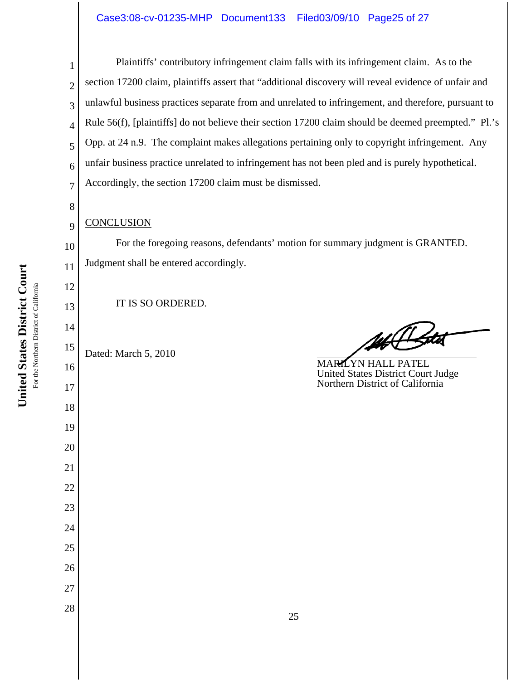# Case3:08-cv-01235-MHP Document133 Filed03/09/10 Page25 of 27

2 3 4 5 6 7 Plaintiffs' contributory infringement claim falls with its infringement claim. As to the section 17200 claim, plaintiffs assert that "additional discovery will reveal evidence of unfair and unlawful business practices separate from and unrelated to infringement, and therefore, pursuant to Rule 56(f), [plaintiffs] do not believe their section 17200 claim should be deemed preempted." Pl.'s Opp. at 24 n.9. The complaint makes allegations pertaining only to copyright infringement. Any unfair business practice unrelated to infringement has not been pled and is purely hypothetical. Accordingly, the section 17200 claim must be dismissed.

## **CONCLUSION**

1

8

9

10

11

12

13

14

16

17

18

19

20

21

22

23

24

25

26

27

28

For the foregoing reasons, defendants' motion for summary judgment is GRANTED. Judgment shall be entered accordingly.

IT IS SO ORDERED.

15 Dated: March 5, 2010

MARILYN HALL PATEL United States District Court Judge Northern District of California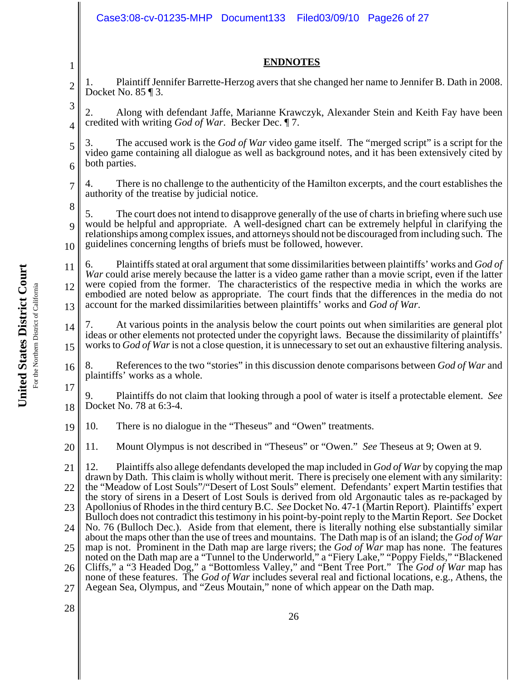|                | Case3:08-cv-01235-MHP Document133<br>Filed03/09/10 Page26 of 27                                                                                                                                                                                                                                                                                                                                                                                                                                                                                                                                                                                                                                                                                                                                                                                                                                                                                                                                                                                                                                                                                               |  |
|----------------|---------------------------------------------------------------------------------------------------------------------------------------------------------------------------------------------------------------------------------------------------------------------------------------------------------------------------------------------------------------------------------------------------------------------------------------------------------------------------------------------------------------------------------------------------------------------------------------------------------------------------------------------------------------------------------------------------------------------------------------------------------------------------------------------------------------------------------------------------------------------------------------------------------------------------------------------------------------------------------------------------------------------------------------------------------------------------------------------------------------------------------------------------------------|--|
|                | <b>ENDNOTES</b>                                                                                                                                                                                                                                                                                                                                                                                                                                                                                                                                                                                                                                                                                                                                                                                                                                                                                                                                                                                                                                                                                                                                               |  |
| 1              |                                                                                                                                                                                                                                                                                                                                                                                                                                                                                                                                                                                                                                                                                                                                                                                                                                                                                                                                                                                                                                                                                                                                                               |  |
| $\overline{2}$ | Plaintiff Jennifer Barrette-Herzog avers that she changed her name to Jennifer B. Dath in 2008.<br>1.<br>Docket No. $85 \text{ } \text{T}$ 3.                                                                                                                                                                                                                                                                                                                                                                                                                                                                                                                                                                                                                                                                                                                                                                                                                                                                                                                                                                                                                 |  |
| 3              | Along with defendant Jaffe, Marianne Krawczyk, Alexander Stein and Keith Fay have been<br>2.                                                                                                                                                                                                                                                                                                                                                                                                                                                                                                                                                                                                                                                                                                                                                                                                                                                                                                                                                                                                                                                                  |  |
| 4              | credited with writing <i>God of War</i> . Becker Dec. 17.                                                                                                                                                                                                                                                                                                                                                                                                                                                                                                                                                                                                                                                                                                                                                                                                                                                                                                                                                                                                                                                                                                     |  |
| 5<br>6         | The accused work is the God of War video game itself. The "merged script" is a script for the<br>3.<br>video game containing all dialogue as well as background notes, and it has been extensively cited by<br>both parties.                                                                                                                                                                                                                                                                                                                                                                                                                                                                                                                                                                                                                                                                                                                                                                                                                                                                                                                                  |  |
| $\overline{7}$ | There is no challenge to the authenticity of the Hamilton excerpts, and the court establishes the<br>4.<br>authority of the treatise by judicial notice.                                                                                                                                                                                                                                                                                                                                                                                                                                                                                                                                                                                                                                                                                                                                                                                                                                                                                                                                                                                                      |  |
| 8              | The court does not intend to disapprove generally of the use of charts in briefing where such use<br>5.                                                                                                                                                                                                                                                                                                                                                                                                                                                                                                                                                                                                                                                                                                                                                                                                                                                                                                                                                                                                                                                       |  |
| $\mathbf Q$    | would be helpful and appropriate. A well-designed chart can be extremely helpful in clarifying the<br>relationships among complex issues, and attorneys should not be discouraged from including such. The                                                                                                                                                                                                                                                                                                                                                                                                                                                                                                                                                                                                                                                                                                                                                                                                                                                                                                                                                    |  |
| 10             | guidelines concerning lengths of briefs must be followed, however.                                                                                                                                                                                                                                                                                                                                                                                                                                                                                                                                                                                                                                                                                                                                                                                                                                                                                                                                                                                                                                                                                            |  |
| 11<br>12       | Plaintiffs stated at oral argument that some dissimilarities between plaintiffs' works and God of<br>6.<br>War could arise merely because the latter is a video game rather than a movie script, even if the latter<br>were copied from the former. The characteristics of the respective media in which the works are<br>embodied are noted below as appropriate. The court finds that the differences in the media do not<br>account for the marked dissimilarities between plaintiffs' works and God of War.                                                                                                                                                                                                                                                                                                                                                                                                                                                                                                                                                                                                                                               |  |
| 13             |                                                                                                                                                                                                                                                                                                                                                                                                                                                                                                                                                                                                                                                                                                                                                                                                                                                                                                                                                                                                                                                                                                                                                               |  |
| 14<br>15       | At various points in the analysis below the court points out when similarities are general plot<br>7.<br>ideas or other elements not protected under the copyright laws. Because the dissimilarity of plaintiffs'<br>works to God of War is not a close question, it is unnecessary to set out an exhaustive filtering analysis.                                                                                                                                                                                                                                                                                                                                                                                                                                                                                                                                                                                                                                                                                                                                                                                                                              |  |
| 16             | References to the two "stories" in this discussion denote comparisons between God of War and<br>8.<br>plaintiffs' works as a whole.                                                                                                                                                                                                                                                                                                                                                                                                                                                                                                                                                                                                                                                                                                                                                                                                                                                                                                                                                                                                                           |  |
| 17<br>18       | Plaintiffs do not claim that looking through a pool of water is itself a protectable element. See<br>9.<br>Docket No. 78 at 6:3-4.                                                                                                                                                                                                                                                                                                                                                                                                                                                                                                                                                                                                                                                                                                                                                                                                                                                                                                                                                                                                                            |  |
| 19             | There is no dialogue in the "Theseus" and "Owen" treatments.<br>10.                                                                                                                                                                                                                                                                                                                                                                                                                                                                                                                                                                                                                                                                                                                                                                                                                                                                                                                                                                                                                                                                                           |  |
| 20             | Mount Olympus is not described in "Theseus" or "Owen." See Theseus at 9; Owen at 9.<br>11.                                                                                                                                                                                                                                                                                                                                                                                                                                                                                                                                                                                                                                                                                                                                                                                                                                                                                                                                                                                                                                                                    |  |
| 21             | Plaintiffs also allege defendants developed the map included in God of War by copying the map<br>12.<br>drawn by Dath. This claim is wholly without merit. There is precisely one element with any similarity:                                                                                                                                                                                                                                                                                                                                                                                                                                                                                                                                                                                                                                                                                                                                                                                                                                                                                                                                                |  |
| 22             | the "Meadow of Lost Souls"/"Desert of Lost Souls" element. Defendants' expert Martin testifies that<br>the story of sirens in a Desert of Lost Souls is derived from old Argonautic tales as re-packaged by<br>Apollonius of Rhodes in the third century B.C. See Docket No. 47-1 (Martin Report). Plaintiffs' expert<br>Bulloch does not contradict this testimony in his point-by-point reply to the Martin Report. See Docket<br>No. 76 (Bulloch Dec.). Aside from that element, there is literally nothing else substantially similar<br>about the maps other than the use of trees and mountains. The Dath map is of an island; the God of War<br>map is not. Prominent in the Dath map are large rivers; the God of War map has none. The features<br>noted on the Dath map are a "Tunnel to the Underworld," a "Fiery Lake," "Poppy Fields," "Blackened<br>Cliffs," a "3 Headed Dog," a "Bottomless Valley," and "Bent Tree Port." The God of War map has<br>none of these features. The God of War includes several real and fictional locations, e.g., Athens, the<br>Aegean Sea, Olympus, and "Zeus Moutain," none of which appear on the Dath map. |  |
| 23             |                                                                                                                                                                                                                                                                                                                                                                                                                                                                                                                                                                                                                                                                                                                                                                                                                                                                                                                                                                                                                                                                                                                                                               |  |
| 24             |                                                                                                                                                                                                                                                                                                                                                                                                                                                                                                                                                                                                                                                                                                                                                                                                                                                                                                                                                                                                                                                                                                                                                               |  |
| 25             |                                                                                                                                                                                                                                                                                                                                                                                                                                                                                                                                                                                                                                                                                                                                                                                                                                                                                                                                                                                                                                                                                                                                                               |  |
| 26             |                                                                                                                                                                                                                                                                                                                                                                                                                                                                                                                                                                                                                                                                                                                                                                                                                                                                                                                                                                                                                                                                                                                                                               |  |
| 27             |                                                                                                                                                                                                                                                                                                                                                                                                                                                                                                                                                                                                                                                                                                                                                                                                                                                                                                                                                                                                                                                                                                                                                               |  |
| 28             | 26                                                                                                                                                                                                                                                                                                                                                                                                                                                                                                                                                                                                                                                                                                                                                                                                                                                                                                                                                                                                                                                                                                                                                            |  |

United States District Court **United States District Court** For the Northern District of California For the Northern District of California